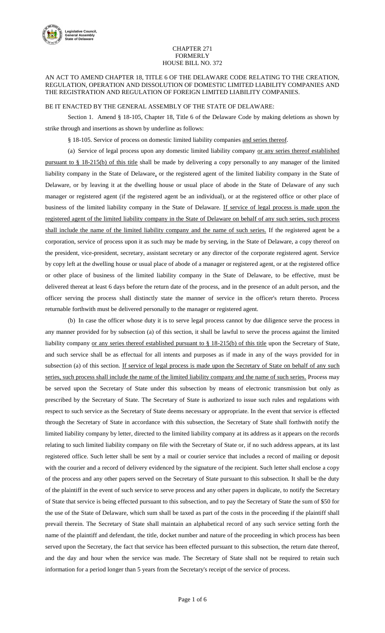

## CHAPTER 271 FORMERLY HOUSE BILL NO. 372

## AN ACT TO AMEND CHAPTER 18, TITLE 6 OF THE DELAWARE CODE RELATING TO THE CREATION, REGULATION, OPERATION AND DISSOLUTION OF DOMESTIC LIMITED LIABILITY COMPANIES AND THE REGISTRATION AND REGULATION OF FOREIGN LIMITED LIABILITY COMPANIES.

## BE IT ENACTED BY THE GENERAL ASSEMBLY OF THE STATE OF DELAWARE:

Section 1. Amend § 18-105, Chapter 18, Title 6 of the Delaware Code by making deletions as shown by strike through and insertions as shown by underline as follows:

§ 18-105. Service of process on domestic limited liability companies and series thereof.

(a) Service of legal process upon any domestic limited liability company or any series thereof established pursuant to § 18-215(b) of this title shall be made by delivering a copy personally to any manager of the limited liability company in the State of Delaware, or the registered agent of the limited liability company in the State of Delaware, or by leaving it at the dwelling house or usual place of abode in the State of Delaware of any such manager or registered agent (if the registered agent be an individual), or at the registered office or other place of business of the limited liability company in the State of Delaware. If service of legal process is made upon the registered agent of the limited liability company in the State of Delaware on behalf of any such series, such process shall include the name of the limited liability company and the name of such series. If the registered agent be a corporation, service of process upon it as such may be made by serving, in the State of Delaware, a copy thereof on the president, vice-president, secretary, assistant secretary or any director of the corporate registered agent. Service by copy left at the dwelling house or usual place of abode of a manager or registered agent, or at the registered office or other place of business of the limited liability company in the State of Delaware, to be effective, must be delivered thereat at least 6 days before the return date of the process, and in the presence of an adult person, and the officer serving the process shall distinctly state the manner of service in the officer's return thereto. Process returnable forthwith must be delivered personally to the manager or registered agent.

(b) In case the officer whose duty it is to serve legal process cannot by due diligence serve the process in any manner provided for by subsection (a) of this section, it shall be lawful to serve the process against the limited liability company or any series thereof established pursuant to § 18-215(b) of this title upon the Secretary of State, and such service shall be as effectual for all intents and purposes as if made in any of the ways provided for in subsection (a) of this section. If service of legal process is made upon the Secretary of State on behalf of any such series, such process shall include the name of the limited liability company and the name of such series. Process may be served upon the Secretary of State under this subsection by means of electronic transmission but only as prescribed by the Secretary of State. The Secretary of State is authorized to issue such rules and regulations with respect to such service as the Secretary of State deems necessary or appropriate. In the event that service is effected through the Secretary of State in accordance with this subsection, the Secretary of State shall forthwith notify the limited liability company by letter, directed to the limited liability company at its address as it appears on the records relating to such limited liability company on file with the Secretary of State or, if no such address appears, at its last registered office. Such letter shall be sent by a mail or courier service that includes a record of mailing or deposit with the courier and a record of delivery evidenced by the signature of the recipient. Such letter shall enclose a copy of the process and any other papers served on the Secretary of State pursuant to this subsection. It shall be the duty of the plaintiff in the event of such service to serve process and any other papers in duplicate, to notify the Secretary of State that service is being effected pursuant to this subsection, and to pay the Secretary of State the sum of \$50 for the use of the State of Delaware, which sum shall be taxed as part of the costs in the proceeding if the plaintiff shall prevail therein. The Secretary of State shall maintain an alphabetical record of any such service setting forth the name of the plaintiff and defendant, the title, docket number and nature of the proceeding in which process has been served upon the Secretary, the fact that service has been effected pursuant to this subsection, the return date thereof, and the day and hour when the service was made. The Secretary of State shall not be required to retain such information for a period longer than 5 years from the Secretary's receipt of the service of process.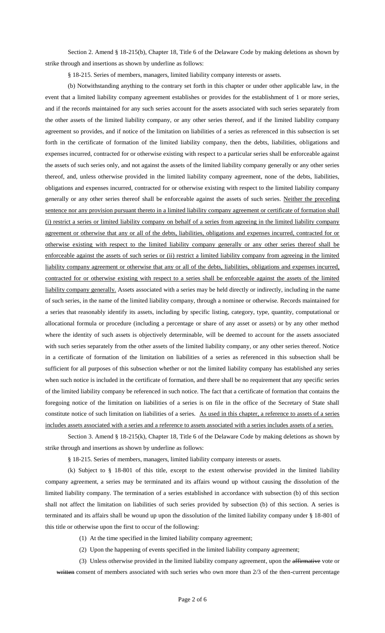Section 2. Amend § 18-215(b), Chapter 18, Title 6 of the Delaware Code by making deletions as shown by strike through and insertions as shown by underline as follows:

§ 18-215. Series of members, managers, limited liability company interests or assets.

(b) Notwithstanding anything to the contrary set forth in this chapter or under other applicable law, in the event that a limited liability company agreement establishes or provides for the establishment of 1 or more series, and if the records maintained for any such series account for the assets associated with such series separately from the other assets of the limited liability company, or any other series thereof, and if the limited liability company agreement so provides, and if notice of the limitation on liabilities of a series as referenced in this subsection is set forth in the certificate of formation of the limited liability company, then the debts, liabilities, obligations and expenses incurred, contracted for or otherwise existing with respect to a particular series shall be enforceable against the assets of such series only, and not against the assets of the limited liability company generally or any other series thereof, and, unless otherwise provided in the limited liability company agreement, none of the debts, liabilities, obligations and expenses incurred, contracted for or otherwise existing with respect to the limited liability company generally or any other series thereof shall be enforceable against the assets of such series. Neither the preceding sentence nor any provision pursuant thereto in a limited liability company agreement or certificate of formation shall (i) restrict a series or limited liability company on behalf of a series from agreeing in the limited liability company agreement or otherwise that any or all of the debts, liabilities, obligations and expenses incurred, contracted for or otherwise existing with respect to the limited liability company generally or any other series thereof shall be enforceable against the assets of such series or (ii) restrict a limited liability company from agreeing in the limited liability company agreement or otherwise that any or all of the debts, liabilities, obligations and expenses incurred, contracted for or otherwise existing with respect to a series shall be enforceable against the assets of the limited liability company generally. Assets associated with a series may be held directly or indirectly, including in the name of such series, in the name of the limited liability company, through a nominee or otherwise. Records maintained for a series that reasonably identify its assets, including by specific listing, category, type, quantity, computational or allocational formula or procedure (including a percentage or share of any asset or assets) or by any other method where the identity of such assets is objectively determinable, will be deemed to account for the assets associated with such series separately from the other assets of the limited liability company, or any other series thereof. Notice in a certificate of formation of the limitation on liabilities of a series as referenced in this subsection shall be sufficient for all purposes of this subsection whether or not the limited liability company has established any series when such notice is included in the certificate of formation, and there shall be no requirement that any specific series of the limited liability company be referenced in such notice. The fact that a certificate of formation that contains the foregoing notice of the limitation on liabilities of a series is on file in the office of the Secretary of State shall constitute notice of such limitation on liabilities of a series. As used in this chapter, a reference to assets of a series includes assets associated with a series and a reference to assets associated with a series includes assets of a series.

Section 3. Amend § 18-215(k), Chapter 18, Title 6 of the Delaware Code by making deletions as shown by strike through and insertions as shown by underline as follows:

§ 18-215. Series of members, managers, limited liability company interests or assets.

(k) Subject to § 18-801 of this title, except to the extent otherwise provided in the limited liability company agreement, a series may be terminated and its affairs wound up without causing the dissolution of the limited liability company. The termination of a series established in accordance with subsection (b) of this section shall not affect the limitation on liabilities of such series provided by subsection (b) of this section. A series is terminated and its affairs shall be wound up upon the dissolution of the limited liability company under § 18-801 of this title or otherwise upon the first to occur of the following:

(1) At the time specified in the limited liability company agreement;

(2) Upon the happening of events specified in the limited liability company agreement;

(3) Unless otherwise provided in the limited liability company agreement, upon the affirmative vote or written consent of members associated with such series who own more than  $2/3$  of the then-current percentage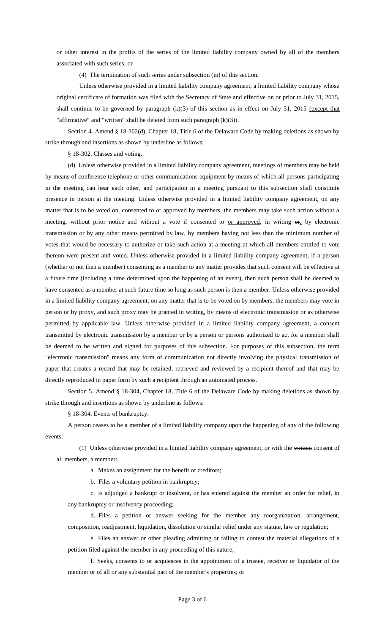or other interest in the profits of the series of the limited liability company owned by all of the members associated with such series; or

(4) The termination of such series under subsection (m) of this section.

Unless otherwise provided in a limited liability company agreement, a limited liability company whose original certificate of formation was filed with the Secretary of State and effective on or prior to July 31, 2015, shall continue to be governed by paragraph (k)(3) of this section as in effect on July 31, 2015 (except that "affirmative" and "written" shall be deleted from such paragraph (k)(3)).

Section 4. Amend § 18-302(d), Chapter 18, Title 6 of the Delaware Code by making deletions as shown by strike through and insertions as shown by underline as follows:

§ 18-302. Classes and voting.

(d) Unless otherwise provided in a limited liability company agreement, meetings of members may be held by means of conference telephone or other communications equipment by means of which all persons participating in the meeting can hear each other, and participation in a meeting pursuant to this subsection shall constitute presence in person at the meeting. Unless otherwise provided in a limited liability company agreement, on any matter that is to be voted on, consented to or approved by members, the members may take such action without a meeting, without prior notice and without a vote if consented to <u>or approved</u>, in writing  $\Theta$ <sub>1</sub> by electronic transmission or by any other means permitted by law, by members having not less than the minimum number of votes that would be necessary to authorize or take such action at a meeting at which all members entitled to vote thereon were present and voted. Unless otherwise provided in a limited liability company agreement, if a person (whether or not then a member) consenting as a member to any matter provides that such consent will be effective at a future time (including a time determined upon the happening of an event), then such person shall be deemed to have consented as a member at such future time so long as such person is then a member. Unless otherwise provided in a limited liability company agreement, on any matter that is to be voted on by members, the members may vote in person or by proxy, and such proxy may be granted in writing, by means of electronic transmission or as otherwise permitted by applicable law. Unless otherwise provided in a limited liability company agreement, a consent transmitted by electronic transmission by a member or by a person or persons authorized to act for a member shall be deemed to be written and signed for purposes of this subsection. For purposes of this subsection, the term "electronic transmission'' means any form of communication not directly involving the physical transmission of paper that creates a record that may be retained, retrieved and reviewed by a recipient thereof and that may be directly reproduced in paper form by such a recipient through an automated process.

Section 5. Amend § 18-304, Chapter 18, Title 6 of the Delaware Code by making deletions as shown by strike through and insertions as shown by underline as follows:

§ 18-304. Events of bankruptcy.

A person ceases to be a member of a limited liability company upon the happening of any of the following events:

(1) Unless otherwise provided in a limited liability company agreement, or with the written consent of all members, a member:

a. Makes an assignment for the benefit of creditors;

b. Files a voluntary petition in bankruptcy;

c. Is adjudged a bankrupt or insolvent, or has entered against the member an order for relief, in any bankruptcy or insolvency proceeding;

d. Files a petition or answer seeking for the member any reorganization, arrangement, composition, readjustment, liquidation, dissolution or similar relief under any statute, law or regulation;

e. Files an answer or other pleading admitting or failing to contest the material allegations of a petition filed against the member in any proceeding of this nature;

f. Seeks, consents to or acquiesces in the appointment of a trustee, receiver or liquidator of the member or of all or any substantial part of the member's properties; or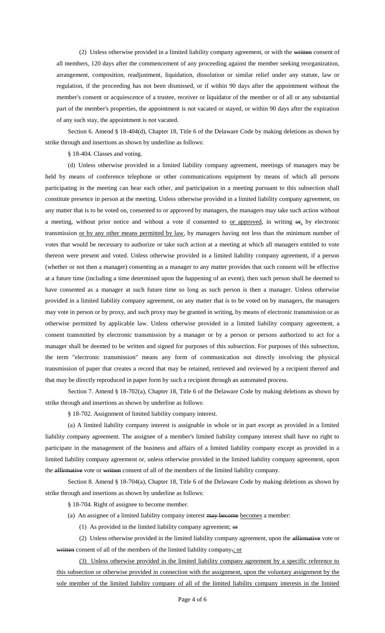(2) Unless otherwise provided in a limited liability company agreement, or with the written consent of all members, 120 days after the commencement of any proceeding against the member seeking reorganization, arrangement, composition, readjustment, liquidation, dissolution or similar relief under any statute, law or regulation, if the proceeding has not been dismissed, or if within 90 days after the appointment without the member's consent or acquiescence of a trustee, receiver or liquidator of the member or of all or any substantial part of the member's properties, the appointment is not vacated or stayed, or within 90 days after the expiration of any such stay, the appointment is not vacated.

Section 6. Amend § 18-404(d), Chapter 18, Title 6 of the Delaware Code by making deletions as shown by strike through and insertions as shown by underline as follows:

§ 18-404. Classes and voting.

(d) Unless otherwise provided in a limited liability company agreement, meetings of managers may be held by means of conference telephone or other communications equipment by means of which all persons participating in the meeting can hear each other, and participation in a meeting pursuant to this subsection shall constitute presence in person at the meeting. Unless otherwise provided in a limited liability company agreement, on any matter that is to be voted on, consented to or approved by managers, the managers may take such action without a meeting, without prior notice and without a vote if consented to or approved, in writing  $\Theta$ <sub>r</sub>, by electronic transmission or by any other means permitted by law, by managers having not less than the minimum number of votes that would be necessary to authorize or take such action at a meeting at which all managers entitled to vote thereon were present and voted. Unless otherwise provided in a limited liability company agreement, if a person (whether or not then a manager) consenting as a manager to any matter provides that such consent will be effective at a future time (including a time determined upon the happening of an event), then such person shall be deemed to have consented as a manager at such future time so long as such person is then a manager. Unless otherwise provided in a limited liability company agreement, on any matter that is to be voted on by managers, the managers may vote in person or by proxy, and such proxy may be granted in writing, by means of electronic transmission or as otherwise permitted by applicable law. Unless otherwise provided in a limited liability company agreement, a consent transmitted by electronic transmission by a manager or by a person or persons authorized to act for a manager shall be deemed to be written and signed for purposes of this subsection. For purposes of this subsection, the term "electronic transmission'' means any form of communication not directly involving the physical transmission of paper that creates a record that may be retained, retrieved and reviewed by a recipient thereof and that may be directly reproduced in paper form by such a recipient through an automated process.

Section 7. Amend § 18-702(a), Chapter 18, Title 6 of the Delaware Code by making deletions as shown by strike through and insertions as shown by underline as follows:

§ 18-702. Assignment of limited liability company interest.

(a) A limited liability company interest is assignable in whole or in part except as provided in a limited liability company agreement. The assignee of a member's limited liability company interest shall have no right to participate in the management of the business and affairs of a limited liability company except as provided in a limited liability company agreement or, unless otherwise provided in the limited liability company agreement, upon the affirmative vote or written consent of all of the members of the limited liability company.

Section 8. Amend § 18-704(a), Chapter 18, Title 6 of the Delaware Code by making deletions as shown by strike through and insertions as shown by underline as follows:

§ 18-704. Right of assignee to become member.

- (a) An assignee of a limited liability company interest may become becomes a member:
	- (1) As provided in the limited liability company agreement; or

(2) Unless otherwise provided in the limited liability company agreement, upon the affirmative vote or written consent of all of the members of the limited liability company.; or

(3) Unless otherwise provided in the limited liability company agreement by a specific reference to this subsection or otherwise provided in connection with the assignment, upon the voluntary assignment by the sole member of the limited liability company of all of the limited liability company interests in the limited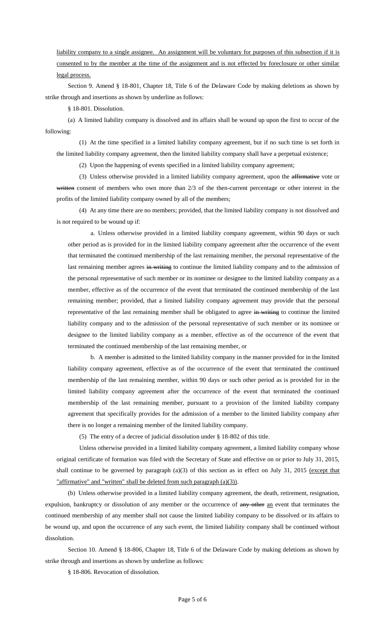liability company to a single assignee. An assignment will be voluntary for purposes of this subsection if it is consented to by the member at the time of the assignment and is not effected by foreclosure or other similar legal process.

Section 9. Amend § 18-801, Chapter 18, Title 6 of the Delaware Code by making deletions as shown by strike through and insertions as shown by underline as follows:

§ 18-801. Dissolution.

(a) A limited liability company is dissolved and its affairs shall be wound up upon the first to occur of the following:

(1) At the time specified in a limited liability company agreement, but if no such time is set forth in the limited liability company agreement, then the limited liability company shall have a perpetual existence;

(2) Upon the happening of events specified in a limited liability company agreement;

(3) Unless otherwise provided in a limited liability company agreement, upon the affirmative vote or written consent of members who own more than  $2/3$  of the then-current percentage or other interest in the profits of the limited liability company owned by all of the members;

(4) At any time there are no members; provided, that the limited liability company is not dissolved and is not required to be wound up if:

a. Unless otherwise provided in a limited liability company agreement, within 90 days or such other period as is provided for in the limited liability company agreement after the occurrence of the event that terminated the continued membership of the last remaining member, the personal representative of the last remaining member agrees in writing to continue the limited liability company and to the admission of the personal representative of such member or its nominee or designee to the limited liability company as a member, effective as of the occurrence of the event that terminated the continued membership of the last remaining member; provided, that a limited liability company agreement may provide that the personal representative of the last remaining member shall be obligated to agree in writing to continue the limited liability company and to the admission of the personal representative of such member or its nominee or designee to the limited liability company as a member, effective as of the occurrence of the event that terminated the continued membership of the last remaining member, or

b. A member is admitted to the limited liability company in the manner provided for in the limited liability company agreement, effective as of the occurrence of the event that terminated the continued membership of the last remaining member, within 90 days or such other period as is provided for in the limited liability company agreement after the occurrence of the event that terminated the continued membership of the last remaining member, pursuant to a provision of the limited liability company agreement that specifically provides for the admission of a member to the limited liability company after there is no longer a remaining member of the limited liability company.

(5) The entry of a decree of judicial dissolution under § 18-802 of this title.

Unless otherwise provided in a limited liability company agreement, a limited liability company whose original certificate of formation was filed with the Secretary of State and effective on or prior to July 31, 2015, shall continue to be governed by paragraph (a)(3) of this section as in effect on July 31, 2015 (except that "affirmative" and "written" shall be deleted from such paragraph (a)(3)).

(b) Unless otherwise provided in a limited liability company agreement, the death, retirement, resignation, expulsion, bankruptcy or dissolution of any member or the occurrence of any other an event that terminates the continued membership of any member shall not cause the limited liability company to be dissolved or its affairs to be wound up, and upon the occurrence of any such event, the limited liability company shall be continued without dissolution.

Section 10. Amend § 18-806, Chapter 18, Title 6 of the Delaware Code by making deletions as shown by strike through and insertions as shown by underline as follows:

§ 18-806. Revocation of dissolution.